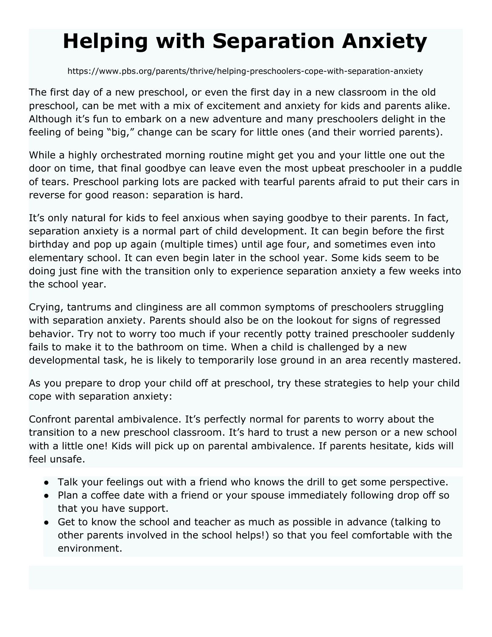## **Helping with Separation Anxiety**

https://www.pbs.org/parents/thrive/helping-preschoolers-cope-with-separation-anxiety

The first day of a new preschool, or even the first day in a new classroom in the old preschool, can be met with a mix of excitement and anxiety for kids and parents alike. Although it's fun to embark on a new adventure and many preschoolers delight in the feeling of being "big," change can be scary for little ones (and their worried parents).

While a highly orchestrated morning routine might get you and your little one out the door on time, that final goodbye can leave even the most upbeat preschooler in a puddle of tears. Preschool parking lots are packed with tearful parents afraid to put their cars in reverse for good reason: separation is hard.

It's only natural for kids to feel anxious when saying goodbye to their parents. In fact, separation anxiety is a normal part of child development. It can begin before the first birthday and pop up again (multiple times) until age four, and sometimes even into elementary school. It can even begin later in the school year. Some kids seem to be doing just fine with the transition only to experience separation anxiety a few weeks into the school year.

Crying, tantrums and clinginess are all common symptoms of preschoolers struggling with separation anxiety. Parents should also be on the lookout for signs of regressed behavior. Try not to worry too much if your recently potty trained preschooler suddenly fails to make it to the bathroom on time. When a child is challenged by a new developmental task, he is likely to temporarily lose ground in an area recently mastered.

As you prepare to drop your child off at preschool, try these strategies to help your child cope with separation anxiety:

Confront parental ambivalence. It's perfectly normal for parents to worry about the transition to a new preschool classroom. It's hard to trust a new person or a new school with a little one! Kids will pick up on parental ambivalence. If parents hesitate, kids will feel unsafe.

- Talk your feelings out with a friend who knows the drill to get some perspective.
- Plan a coffee date with a friend or your spouse immediately following drop off so that you have support.
- Get to know the school and teacher as much as possible in advance (talking to other parents involved in the school helps!) so that you feel comfortable with the environment.